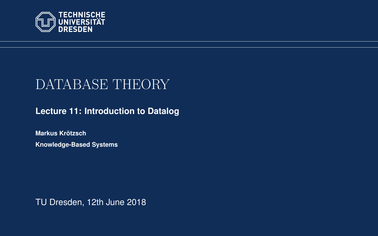<span id="page-0-0"></span>

# DATABASE THEORY

**[Lecture 11: Introduction to Datalog](https://iccl.inf.tu-dresden.de/web/Database_Theory_(SS2018))**

**[Markus Krotzsch](https://iccl.inf.tu-dresden.de/web/Markus_Kr%C3%B6tzsch/en) ¨ Knowledge-Based Systems**

TU Dresden, 12th June 2018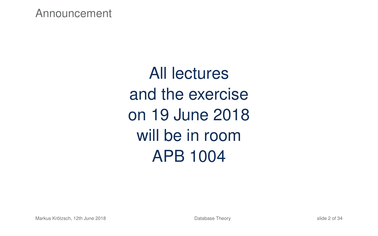Announcement

All lectures and the exercise on 19 June 2018 will be in room APB 1004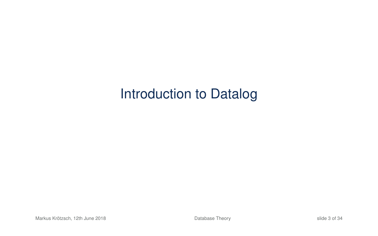# Introduction to Datalog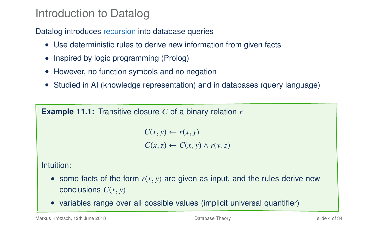#### Introduction to Datalog

Datalog introduces recursion into database queries

- Use deterministic rules to derive new information from given facts
- Inspired by logic programming (Prolog)
- However, no function symbols and no negation
- Studied in AI (knowledge representation) and in databases (query language)

**Example 11.1:** Transitive closure *C* of a binary relation *r*

 $C(x, y) \leftarrow r(x, y)$  $C(x, z) \leftarrow C(x, y) \wedge r(y, z)$ 

Intuition:

- some facts of the form  $r(x, y)$  are given as input, and the rules derive new conclusions *C*(*x*, *y*)
- variables range over all possible values (implicit universal quantifier)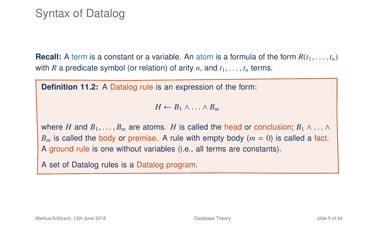**Recall:** A term is a constant or a variable. An atom is a formula of the form  $R(t_1, \ldots, t_n)$ with *R* a predicate symbol (or relation) of arity *n*, and  $t_1, \ldots, t_n$  terms.

**Definition 11.2:** A Datalog rule is an expression of the form:

 $H \leftarrow B_1 \wedge \ldots \wedge B_m$ 

where *H* and  $B_1, \ldots, B_m$  are atoms. *H* is called the head or conclusion;  $B_1 \wedge \ldots \wedge$  $B_m$  is called the body or premise. A rule with empty body  $(m = 0)$  is called a fact. A ground rule is one without variables (i.e., all terms are constants).

A set of Datalog rules is a Datalog program.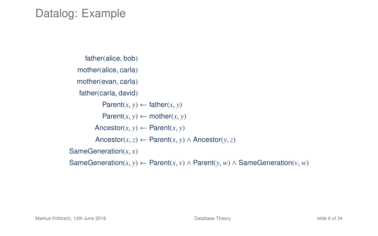#### Datalog: Example

```
father(alice, bob)
  mother(alice, carla)
  mother(evan, carla)
   father(carla, david)
           Parent(x, y) \leftarrow father(x, y)Parent(x, y) \leftarrow mother(x, y)\text{Ancestor}(x, y) \leftarrow \text{Parent}(x, y)Ancestor(x,z) ← Parent(x, y) ∧ Ancestor(y,z)
SameGeneration(x, x)
SameGeneration(x, y) ← Parent(x, v) ∧ Parent(y, w) ∧ SameGeneration(v, w)
```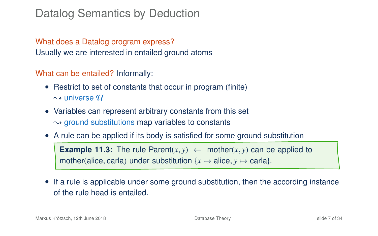#### Datalog Semantics by Deduction

What does a Datalog program express? Usually we are interested in entailed ground atoms

What can be entailed? Informally:

- Restrict to set of constants that occur in program (finite)  $\rightsquigarrow$  universe  $\mathcal U$
- Variables can represent arbitrary constants from this set  $\rightarrow$  ground substitutions map variables to constants
- A rule can be applied if its body is satisfied for some ground substitution **Example 11.3:** The rule Parent $(x, y) \leftarrow$  mother $(x, y)$  can be applied to mother(alice, carla) under substitution  $\{x \mapsto \text{alice}, y \mapsto \text{carla}\}.$
- If a rule is applicable under some ground substitution, then the according instance of the rule head is entailed.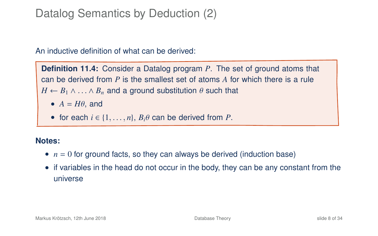### Datalog Semantics by Deduction (2)

An inductive definition of what can be derived:

**Definition 11.4:** Consider a Datalog program *P*. The set of ground atoms that can be derived from *P* is the smallest set of atoms *A* for which there is a rule  $H \leftarrow B_1 \wedge \ldots \wedge B_n$  and a ground substitution  $\theta$  such that

- $A = H\theta$ , and
- for each  $i \in \{1, \ldots, n\}$ ,  $B_i \theta$  can be derived from *P*.

#### **Notes:**

- $n = 0$  for ground facts, so they can always be derived (induction base)
- if variables in the head do not occur in the body, they can be any constant from the universe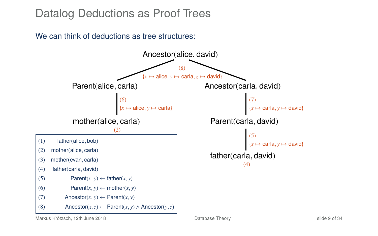#### Datalog Deductions as Proof Trees

We can think of deductions as tree structures:



Markus Krötzsch, 12th June 2018 [Database Theory](#page-0-0) slide 9 of 34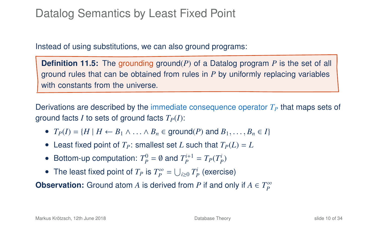### Datalog Semantics by Least Fixed Point

Instead of using substitutions, we can also ground programs:

**Definition 11.5:** The grounding ground(*P*) of a Datalog program *P* is the set of all ground rules that can be obtained from rules in *P* by uniformly replacing variables with constants from the universe.

Derivations are described by the immediate consequence operator  $T<sub>P</sub>$  that maps sets of ground facts *I* to sets of ground facts  $T_P(I)$ :

- $T_P(I) = \{H \mid H \leftarrow B_1 \land \ldots \land B_n \in \text{ground}(P) \text{ and } B_1, \ldots, B_n \in I\}$
- Least fixed point of  $T_P$ : smallest set *L* such that  $T_P(L) = L$
- Bottom-up computation:  $T_p^0 = \emptyset$  and  $T_p^{i+1} = T_p(T_p^i)$
- The least fixed point of  $T_P$  is  $T_P^{\infty} = \bigcup_{i \geq 0} T_P^i$  (exercise)

**Observation:** Ground atom *A* is derived from *P* if and only if  $A \in T_P^{\infty}$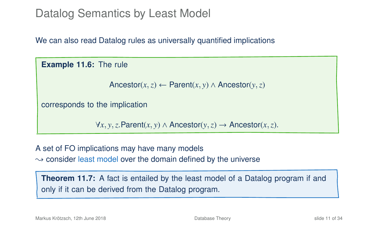#### Datalog Semantics by Least Model

We can also read Datalog rules as universally quantified implications

**Example 11.6:** The rule

Ancestor(*x*, *z*) ← Parent(*x*, *y*) ∧ Ancestor(*y*, *z*)

corresponds to the implication

<sup>∀</sup>*x*, *<sup>y</sup>*,*z*.Parent(*x*, *<sup>y</sup>*) <sup>∧</sup> Ancestor(*y*,*z*) <sup>→</sup> Ancestor(*x*,*z*).

A set of FO implications may have many models  $\rightarrow$  consider least model over the domain defined by the universe

**Theorem 11.7:** A fact is entailed by the least model of a Datalog program if and only if it can be derived from the Datalog program.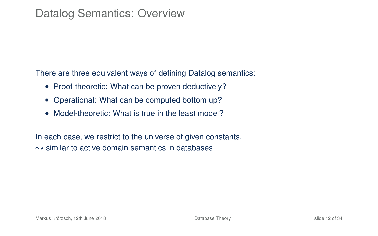#### Datalog Semantics: Overview

There are three equivalent ways of defining Datalog semantics:

- Proof-theoretic: What can be proven deductively?
- Operational: What can be computed bottom up?
- Model-theoretic: What is true in the least model?

In each case, we restrict to the universe of given constants.  $\sim$  similar to active domain semantics in databases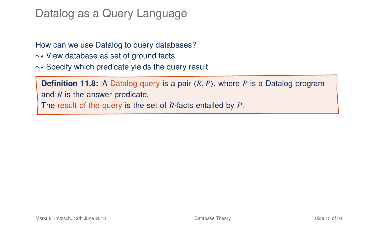### Datalog as a Query Language

How can we use Datalog to query databases?  $\rightsquigarrow$  View database as set of ground facts  $\rightarrow$  Specify which predicate vields the query result

**Definition 11.8:** A Datalog query is a pair  $\langle R, P \rangle$ , where *P* is a Datalog program and *R* is the answer predicate. The result of the query is the set of *R*-facts entailed by *P*.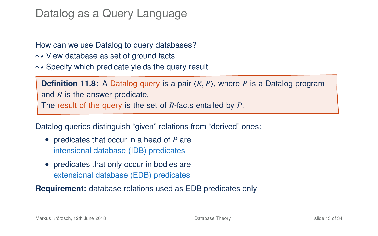### Datalog as a Query Language

How can we use Datalog to query databases?  $\rightarrow$  View database as set of ground facts  $\rightarrow$  Specify which predicate yields the query result

**Definition 11.8:** A Datalog query is a pair  $\langle R, P \rangle$ , where P is a Datalog program and *R* is the answer predicate. The result of the query is the set of *R*-facts entailed by *P*.

Datalog queries distinguish "given" relations from "derived" ones:

- predicates that occur in a head of *P* are intensional database (IDB) predicates
- predicates that only occur in bodies are extensional database (EDB) predicates

**Requirement:** database relations used as EDB predicates only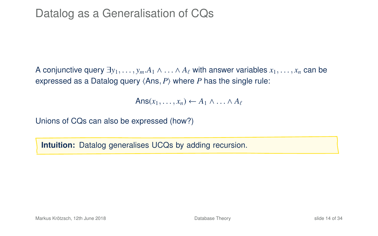A conjunctive query  $\exists y_1, \ldots, y_m.A_1 \wedge \ldots \wedge A_\ell$  with answer variables  $x_1, \ldots, x_n$  can be expressed as a Datalog query  $\langle Ans, P \rangle$  where *P* has the single rule:

 $Ans(x_1, \ldots, x_n) \leftarrow A_1 \wedge \ldots \wedge A_\ell$ 

Unions of CQs can also be expressed (how?)

**Intuition:** Datalog generalises UCQs by adding recursion.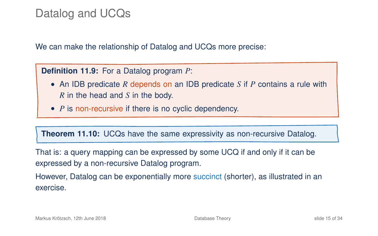#### Datalog and UCQs

We can make the relationship of Datalog and UCQs more precise:

**Definition 11.9:** For a Datalog program *P*:

- An IDB predicate *R* depends on an IDB predicate *S* if *P* contains a rule with *R* in the head and *S* in the body.
- <span id="page-15-0"></span>• *P* is non-recursive if there is no cyclic dependency.

**Theorem 11.10:** UCQs have the same expressivity as non-recursive Datalog.

That is: a query mapping can be expressed by some UCQ if and only if it can be expressed by a non-recursive Datalog program.

However, Datalog can be exponentially more succinct (shorter), as illustrated in an exercise.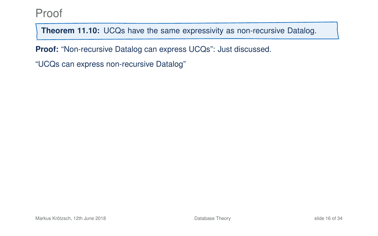**Theorem 11[.10:](#page-15-0)** UCQs have the same expressivity as non-recursive Datalog.

**Proof:** "Non-recursive Datalog can express UCQs": Just discussed.

"UCQs can express non-recursive Datalog"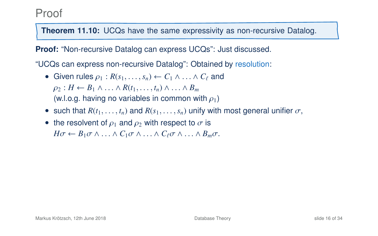**Theorem 11[.10:](#page-15-0)** UCQs have the same expressivity as non-recursive Datalog.

**Proof:** "Non-recursive Datalog can express UCQs": Just discussed.

"UCQs can express non-recursive Datalog": Obtained by resolution:

- Given rules  $\rho_1 : R(s_1, \ldots, s_n) \leftarrow C_1 \wedge \ldots \wedge C_\ell$  and  $\rho_2: H \leftarrow B_1 \wedge \ldots \wedge R(t_1, \ldots, t_n) \wedge \ldots \wedge B_m$ (w.l.o.g. having no variables in common with  $\rho_1$ )
- such that  $R(t_1, \ldots, t_n)$  and  $R(s_1, \ldots, s_n)$  unify with most general unifier  $\sigma$ ,
- the resolvent of  $\rho_1$  and  $\rho_2$  with respect to  $\sigma$  is  $H\sigma \leftarrow B_1\sigma \wedge \ldots \wedge C_1\sigma \wedge \ldots \wedge C_\ell\sigma \wedge \ldots \wedge B_m\sigma.$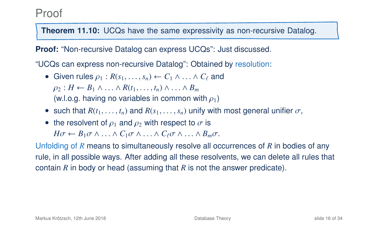**Theorem 11[.10:](#page-15-0)** UCQs have the same expressivity as non-recursive Datalog.

**Proof:** "Non-recursive Datalog can express UCQs": Just discussed.

"UCQs can express non-recursive Datalog": Obtained by resolution:

- Given rules  $\rho_1 : R(s_1, \ldots, s_n) \leftarrow C_1 \wedge \ldots \wedge C_\ell$  and  $\rho_2: H \leftarrow B_1 \wedge \ldots \wedge R(t_1, \ldots, t_n) \wedge \ldots \wedge B_m$ (w.l.o.g. having no variables in common with  $\rho_1$ )
- such that  $R(t_1, \ldots, t_n)$  and  $R(s_1, \ldots, s_n)$  unify with most general unifier  $\sigma$ ,
- the resolvent of  $\rho_1$  and  $\rho_2$  with respect to  $\sigma$  is  $H\sigma \leftarrow B_1\sigma \wedge \ldots \wedge C_1\sigma \wedge \ldots \wedge C_\ell\sigma \wedge \ldots \wedge B_m\sigma.$

Unfolding of *R* means to simultaneously resolve all occurrences of *R* in bodies of any rule, in all possible ways. After adding all these resolvents, we can delete all rules that contain *R* in body or head (assuming that *R* is not the answer predicate).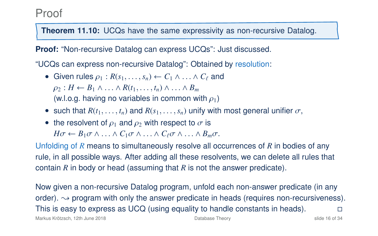**Theorem 11[.10:](#page-15-0)** UCQs have the same expressivity as non-recursive Datalog.

**Proof:** "Non-recursive Datalog can express UCQs": Just discussed.

"UCQs can express non-recursive Datalog": Obtained by resolution:

- Given rules  $\rho_1 : R(s_1, \ldots, s_n) \leftarrow C_1 \wedge \ldots \wedge C_\ell$  and  $\rho_2: H \leftarrow B_1 \wedge \ldots \wedge R(t_1, \ldots, t_n) \wedge \ldots \wedge B_m$ (w.l.o.g. having no variables in common with  $\rho_1$ )
- such that  $R(t_1, \ldots, t_n)$  and  $R(s_1, \ldots, s_n)$  unify with most general unifier  $\sigma$ ,
- the resolvent of  $\rho_1$  and  $\rho_2$  with respect to  $\sigma$  is  $H\sigma \leftarrow B_1\sigma \wedge \ldots \wedge C_1\sigma \wedge \ldots \wedge C_\ell\sigma \wedge \ldots \wedge B_m\sigma.$

Unfolding of *R* means to simultaneously resolve all occurrences of *R* in bodies of any rule, in all possible ways. After adding all these resolvents, we can delete all rules that contain *R* in body or head (assuming that *R* is not the answer predicate).

Now given a non-recursive Datalog program, unfold each non-answer predicate (in any order).  $\rightarrow$  program with only the answer predicate in heads (requires non-recursiveness). This is easy to express as UCQ (using equality to handle constants in heads).  $\Box$ 

Markus Krötzsch, 12th June 2018 **[Database Theory](#page-0-0)** Database Theory **Slide 16 of 34** Side 16 of 34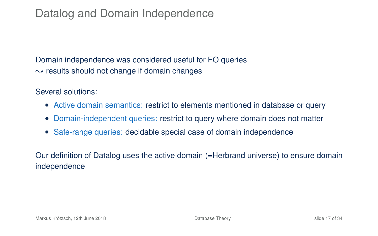### Datalog and Domain Independence

Domain independence was considered useful for FO queries  $\rightarrow$  results should not change if domain changes

Several solutions:

- Active domain semantics: restrict to elements mentioned in database or query
- Domain-independent queries: restrict to query where domain does not matter
- Safe-range queries: decidable special case of domain independence

Our definition of Datalog uses the active domain (=Herbrand universe) to ensure domain independence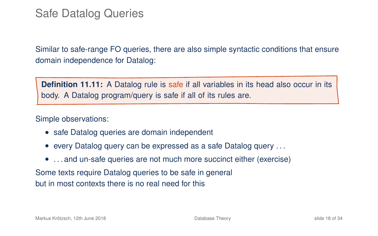### Safe Datalog Queries

Similar to safe-range FO queries, there are also simple syntactic conditions that ensure domain independence for Datalog:

**Definition 11.11:** A Datalog rule is safe if all variables in its head also occur in its body. A Datalog program/query is safe if all of its rules are.

Simple observations:

- safe Datalog queries are domain independent
- every Datalog query can be expressed as a safe Datalog query . . .
- ... and un-safe queries are not much more succinct either (exercise)

Some texts require Datalog queries to be safe in general but in most contexts there is no real need for this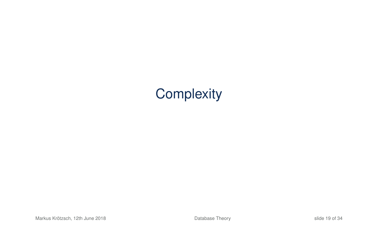# **Complexity**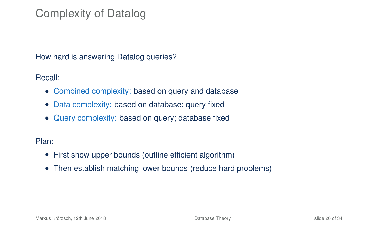# Complexity of Datalog

How hard is answering Datalog queries?

Recall:

- Combined complexity: based on query and database
- Data complexity: based on database; query fixed
- Query complexity: based on query; database fixed

Plan:

- First show upper bounds (outline efficient algorithm)
- Then establish matching lower bounds (reduce hard problems)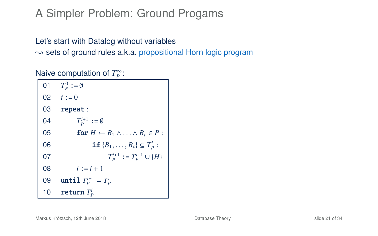## A Simpler Problem: Ground Progams

#### Let's start with Datalog without variables  $\rightarrow$  sets of ground rules a.k.a. propositional Horn logic program

Naive computation of *T*<sup>∞</sup>:

| 01 | $T_p^0 := \emptyset$                                       |
|----|------------------------------------------------------------|
|    | 02 $i := 0$                                                |
| 03 | repeat:                                                    |
| 04 | $T_P^{i+1} := \emptyset$                                   |
| 05 | for $H \leftarrow B_1 \wedge \ldots \wedge B_\ell \in P$ : |
| 06 | <b>if</b> ${B_1, \ldots, B_\ell} \subseteq T_p$ :          |
| 07 | $T_P^{i+1} := T_P^{i+1} \cup \{H\}$                        |
| 08 | $i := i + 1$                                               |
| 09 | until $T_P^{i-1} = T_P^i$                                  |
| 10 | return $T_p^i$                                             |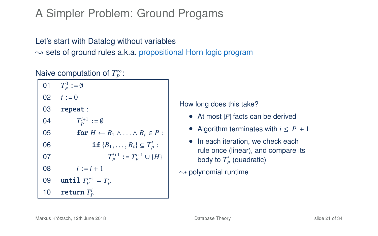# A Simpler Problem: Ground Progams

#### Let's start with Datalog without variables  $\rightarrow$  sets of ground rules a.k.a. propositional Horn logic program

#### Naive computation of *T*<sup>∞</sup>:

| 01 | $T_p^0 := \emptyset$                                       |
|----|------------------------------------------------------------|
|    | 02 $i := 0$                                                |
| 03 | repeat:                                                    |
| 04 | $T_P^{i+1} := \emptyset$                                   |
| 05 | for $H \leftarrow B_1 \wedge \ldots \wedge B_\ell \in P$ : |
| 06 | <b>if</b> ${B_1, \ldots, B_\ell} \subseteq T_p^i$ :        |
| 07 | $T_P^{i+1} := T_P^{i+1} \cup \{H\}$                        |
| 08 | $i := i + 1$                                               |
| 09 | until $T_P^{i-1} = T_P^i$                                  |
| 10 | return $T_p$                                               |

How long does this take?

- At most |P| facts can be derived
- Algorithm terminates with  $i \leq |P| + 1$
- In each iteration, we check each rule once (linear), and compare its body to  $T_P^i$  (quadratic)

 $\rightarrow$  polynomial runtime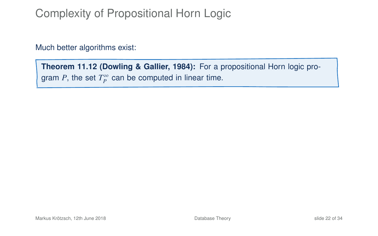# Complexity of Propositional Horn Logic

Much better algorithms exist:

**Theorem 11.12 (Dowling & Gallier, 1984):** For a propositional Horn logic program  $P$ , the set  $T_P^{\infty}$  can be computed in linear time.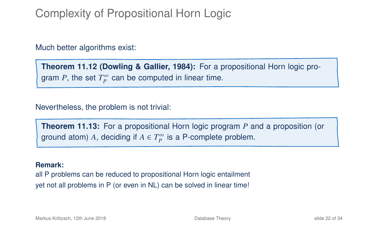# Complexity of Propositional Horn Logic

Much better algorithms exist:

**Theorem 11.12 (Dowling & Gallier, 1984):** For a propositional Horn logic program  $P$ , the set  $T_P^{\infty}$  can be computed in linear time.

Nevertheless, the problem is not trivial:

**Theorem 11.13:** For a propositional Horn logic program *P* and a proposition (or ground atom) A, deciding if  $A \in T_P^{\infty}$  is a P-complete problem.

#### **Remark:**

all P problems can be reduced to propositional Horn logic entailment yet not all problems in P (or even in NL) can be solved in linear time!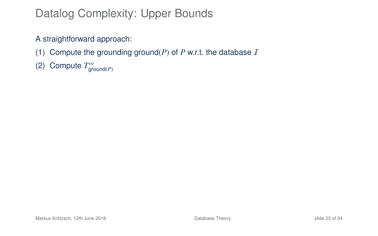# Datalog Complexity: Upper Bounds

#### A straightforward approach:

- (1) Compute the grounding ground( $P$ ) of  $P$  w.r.t. the database  $I$
- (2) Compute  $T^{\infty}_{\text{ground}(P)}$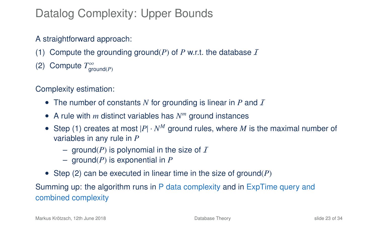# Datalog Complexity: Upper Bounds

#### A straightforward approach:

- (1) Compute the grounding ground(*P*) of *P* w.r.t. the database  $I$
- (2) Compute  $T^{\infty}_{\text{ground}(P)}$

#### Complexity estimation:

- The number of constants N for grounding is linear in P and I
- A rule with *m* distinct variables has *N <sup>m</sup>* ground instances
- Step (1) creates at most  $|P| \cdot N^M$  ground rules, where M is the maximal number of variables in any rule in *P*
	- ground( $P$ ) is polynomial in the size of  $I$
	- ground(*P*) is exponential in *P*
- Step (2) can be executed in linear time in the size of ground(*P*)

Summing up: the algorithm runs in P data complexity and in ExpTime query and combined complexity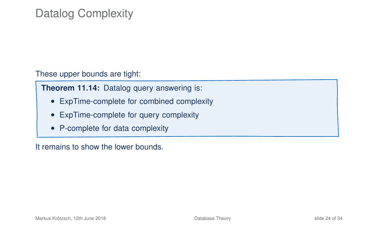# Datalog Complexity

These upper bounds are tight:

**Theorem 11.14:** Datalog query answering is:

- ExpTime-complete for combined complexity
- ExpTime-complete for query complexity
- P-complete for data complexity

It remains to show the lower bounds.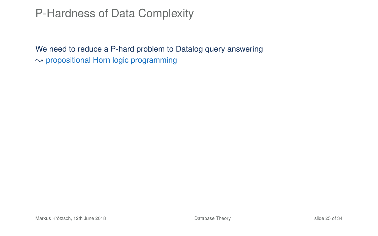### P-Hardness of Data Complexity

We need to reduce a P-hard problem to Datalog query answering  $\rightarrow$  propositional Horn logic programming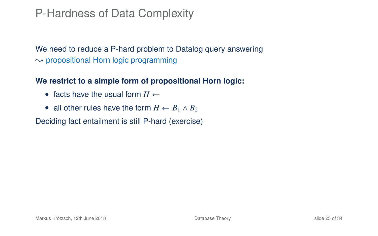### P-Hardness of Data Complexity

We need to reduce a P-hard problem to Datalog query answering  $\rightarrow$  propositional Horn logic programming

#### **We restrict to a simple form of propositional Horn logic:**

- facts have the usual form  $H \leftarrow$
- all other rules have the form  $H \leftarrow B_1 \wedge B_2$

Deciding fact entailment is still P-hard (exercise)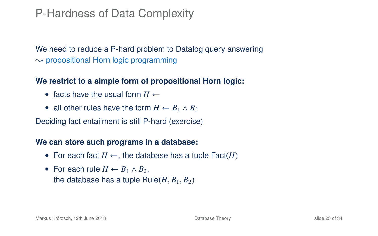### P-Hardness of Data Complexity

We need to reduce a P-hard problem to Datalog query answering  $\rightarrow$  propositional Horn logic programming

#### **We restrict to a simple form of propositional Horn logic:**

- facts have the usual form  $H \leftarrow$
- all other rules have the form  $H \leftarrow B_1 \wedge B_2$

Deciding fact entailment is still P-hard (exercise)

#### **We can store such programs in a database:**

- For each fact  $H \leftarrow$ , the database has a tuple Fact(*H*)
- For each rule  $H \leftarrow B_1 \wedge B_2$ , the database has a tuple  $Rule(H, B_1, B_2)$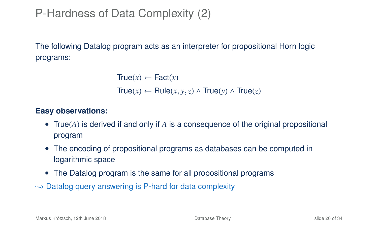# P-Hardness of Data Complexity (2)

The following Datalog program acts as an interpreter for propositional Horn logic programs:

```
True(x) \leftarrow Fact(x)True(x) ← Rule(x, y,z) ∧ True(y) ∧ True(z)
```
#### **Easy observations:**

- True(*A*) is derived if and only if *A* is a consequence of the original propositional program
- The encoding of propositional programs as databases can be computed in logarithmic space
- The Datalog program is the same for all propositional programs
- $\rightarrow$  Datalog query answering is P-hard for data complexity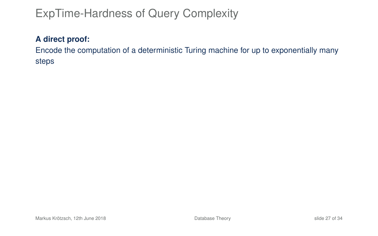# ExpTime-Hardness of Query Complexity

#### **A direct proof:**

Encode the computation of a deterministic Turing machine for up to exponentially many steps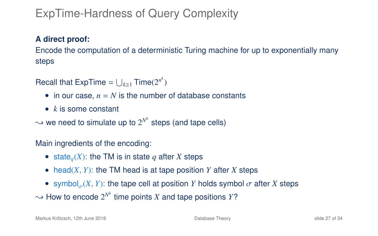# ExpTime-Hardness of Query Complexity

#### **A direct proof:**

Encode the computation of a deterministic Turing machine for up to exponentially many steps

Recall that ExpTime =  $\bigcup_{k\geq 1}$  Time(2<sup>*n*<sup>k</sup>)</sub></sup>

- in our case,  $n = N$  is the number of database constants
- *k* is some constant

 $\rightsquigarrow$  we need to simulate up to  $2^{N^k}$  steps (and tape cells)

Main ingredients of the encoding:

- state<sub>q</sub> $(X)$ : the TM is in state q after *X* steps
- head $(X, Y)$ : the TM head is at tape position *Y* after *X* steps
- symbol ${}_{\sigma}(X, Y)$ : the tape cell at position *Y* holds symbol  $\sigma$  after *X* steps

 $\sim$  How to encode  $2^{N^k}$  time points *X* and tape positions *Y*?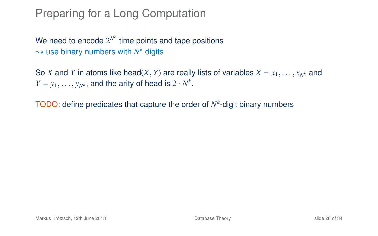### Preparing for a Long Computation

We need to encode  $2^{N^k}$  time points and tape positions  $\rightsquigarrow$  use binary numbers with  $N^k$  digits

So *X* and *Y* in atoms like head(*X*, *Y*) are really lists of variables  $X = x_1, \ldots, x_{N^k}$  and  $Y = y_1, \ldots, y_{N^k}$ , and the arity of head is  $2 \cdot N^k$ .

TODO: define predicates that capture the order of *N k* -digit binary numbers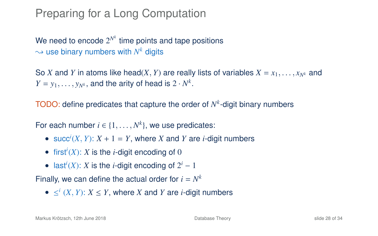### Preparing for a Long Computation

We need to encode  $2^{N^k}$  time points and tape positions  $\rightsquigarrow$  use binary numbers with  $N^k$  digits

So *X* and *Y* in atoms like head(*X*, *Y*) are really lists of variables  $X = x_1, \ldots, x_{N^k}$  and  $Y = y_1, \ldots, y_{N^k}$ , and the arity of head is  $2 \cdot N^k$ .

TODO: define predicates that capture the order of *N k* -digit binary numbers

For each number  $i \in \{1, ..., N^k\}$ , we use predicates:

- succ<sup>*i*</sup>(*X*, *Y*):  $X + 1 = Y$ , where *X* and *Y* are *i*-digit numbers
- first<sup>*i*</sup>(*X*): *X* is the *i*-digit encoding of 0
- last<sup>*i*</sup>(*X*): *X* is the *i*-digit encoding of  $2^i 1$

Finally, we can define the actual order for  $i = N^k$ 

■  $\leq^i$  (*X*, *Y*): *X*  $\leq$  *Y*, where *X* and *Y* are *i*-digit numbers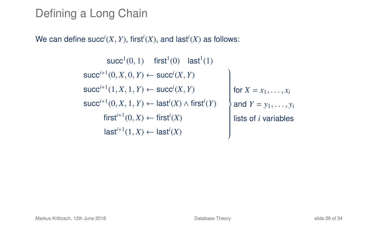# Defining a Long Chain

We can define  $succ^i(X, Y)$ , first<sup>*i*</sup>(*X*), and last<sup>*i*</sup>(*X*) as follows:

 $succ<sup>1</sup>(0, 1)$  first<sup>1</sup>(0) last<sup>1</sup>(1)  $succ^{i+1}(0, X, 0, Y) \leftarrow succ^{i}(X, Y)$  $succ^{i+1}(1, X, 1, Y) \leftarrow succ^{i}(X, Y)$ succ<sup>*i*+1</sup>(0, *X*, 1, *Y*) ← last<sup>*i*</sup>(*X*) ∧ first<sup>*i*</sup>(*Y*)  $\mathcal{L}$  $\overline{\phantom{a}}$  $\begin{array}{c} \hline \end{array}$ for  $X = x_1, \ldots, x_i$ and  $Y = y_1, ..., y_i$  $first^{i+1}(0, X) \leftarrow first^i(X)$  **iists of** *i* variables  $\mathsf{last}^{i+1}(1,X) \leftarrow \mathsf{last}^{i}(X)$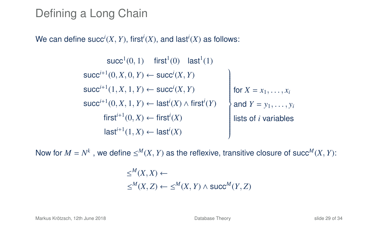### Defining a Long Chain

We can define  $succ^i(X, Y)$ , first<sup>*i*</sup>(*X*), and last<sup>*i*</sup>(*X*) as follows:

 $succ<sup>1</sup>(0, 1)$  first<sup>1</sup>(0) last<sup>1</sup>(1)  $succ^{i+1}(0, X, 0, Y) \leftarrow succ^{i}(X, Y)$  $succ^{i+1}(1, X, 1, Y) \leftarrow succ^{i}(X, Y)$ succ<sup>*i*+1</sup>(0, *X*, 1, *Y*) ← last<sup>*i*</sup>(*X*) ∧ first<sup>*i*</sup>(*Y*)  $\mathcal{L}$  $\overline{\phantom{a}}$  $\begin{array}{c} \hline \end{array}$ for  $X = x_1, \ldots, x_i$ and  $Y = y_1, ..., y_i$  $first^{i+1}(0, X) \leftarrow first^i(X)$  **iists of** *i* variables  $\mathsf{last}^{i+1}(1,X) \leftarrow \mathsf{last}^{i}(X)$ 

Now for  $M = N^k$ , we define  $\le^M (X, Y)$  as the reflexive, transitive closure of succ<sup>M</sup>(*X*, *Y*):

$$
\le^M (X, X) \leftarrow
$$
  

$$
\le^M (X, Z) \leftarrow \le^M (X, Y) \land succ^M (Y, Z)
$$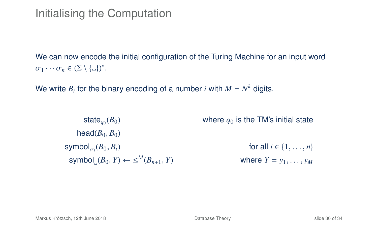## Initialising the Computation

We can now encode the initial configuration of the Turing Machine for an input word  $\sigma_1 \cdots \sigma_n \in (\Sigma \setminus {\{\_ \}\})^*.$ 

We write  $B_i$  for the binary encoding of a number  $i$  with  $M = N^k$  digits.

state $_{q_0}(B_0)$ where  $q_0$  is the TM's initial state head $(B_0, B_0)$ symbol $(B_0, B_i)$ σ*i* for all  $i \in \{1, ..., n\}$ <br>where  $Y = y_1, ..., y_M$  $\textsf{symbol}(B_0, Y) \leftarrow \le^M (B_{n+1}, Y)$  where  $Y = y_1, \ldots, y_M$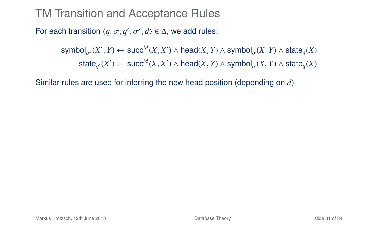#### TM Transition and Acceptance Rules

For each transition  $\langle q, \sigma, q', \sigma', d \rangle \in \Delta$ , we add rules:

 ${\sf symbol}_{\sigma'}(X',Y) \leftarrow {\sf succ}^M(X,X') \wedge {\sf head}(X,Y) \wedge {\sf symbol}_{\sigma}(X,Y) \wedge {\sf state}_q(X)$  $\mathsf{state}_{q'}(X') \leftarrow \mathsf{succ}^M(X, X') \land \mathsf{head}(X, Y) \land \mathsf{symbol}_{\sigma}(X, Y) \land \mathsf{state}_{q}(X)$ 

Similar rules are used for inferring the new head position (depending on *d*)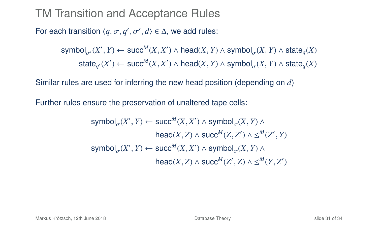#### TM Transition and Acceptance Rules

For each transition  $\langle q, \sigma, q', \sigma', d \rangle \in \Delta$ , we add rules:

 ${\sf symbol}_{\sigma'}(X',Y) \leftarrow {\sf succ}^M(X,X') \wedge {\sf head}(X,Y) \wedge {\sf symbol}_{\sigma}(X,Y) \wedge {\sf state}_q(X)$  $\mathsf{state}_{q'}(X') \leftarrow \mathsf{succ}^M(X, X') \land \mathsf{head}(X, Y) \land \mathsf{symbol}_{\sigma}(X, Y) \land \mathsf{state}_{q}(X)$ 

Similar rules are used for inferring the new head position (depending on *d*)

Further rules ensure the preservation of unaltered tape cells:

$$
\begin{aligned} \text{symbol}_{\sigma}(X',Y) &\leftarrow \text{succ}^M(X,X') \land \text{symbol}_{\sigma}(X,Y) \land \\ \text{head}(X,Z) &\land \text{succ}^M(Z,Z') \land \leq^M(Z',Y) \end{aligned}
$$
 
$$
\text{symbol}_{\sigma}(X',Y) \leftarrow \text{succ}^M(X,X') \land \text{symbol}_{\sigma}(X,Y) \land \\ \text{head}(X,Z) \land \text{succ}^M(Z',Z) \land \leq^M(Y,Z')
$$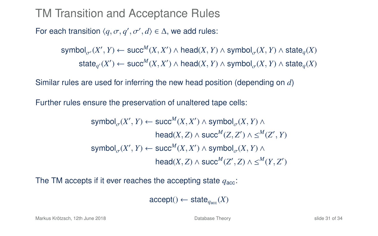#### TM Transition and Acceptance Rules

For each transition  $\langle q, \sigma, q', \sigma', d \rangle \in \Delta$ , we add rules:

 ${\sf symbol}_{\sigma'}(X',Y) \leftarrow {\sf succ}^M(X,X') \wedge {\sf head}(X,Y) \wedge {\sf symbol}_{\sigma}(X,Y) \wedge {\sf state}_q(X)$  $\mathsf{state}_{q'}(X') \leftarrow \mathsf{succ}^M(X, X') \land \mathsf{head}(X, Y) \land \mathsf{symbol}_{\sigma}(X, Y) \land \mathsf{state}_{q}(X)$ 

Similar rules are used for inferring the new head position (depending on *d*)

Further rules ensure the preservation of unaltered tape cells:

$$
\begin{aligned} \text{symbol}_{\sigma}(X',Y) &\leftarrow \text{succ}^M(X,X') \land \text{symbol}_{\sigma}(X,Y) \land \\ \text{head}(X,Z) &\land \text{succ}^M(Z,Z') \land \leq^M(Z',Y) \end{aligned}
$$
 
$$
\text{symbol}_{\sigma}(X',Y) \leftarrow \text{succ}^M(X,X') \land \text{symbol}_{\sigma}(X,Y) \land \\ \text{head}(X,Z) \land \text{succ}^M(Z',Z) \land \leq^M(Y,Z')
$$

The TM accepts if it ever reaches the accepting state  $q_{\text{acc}}$ :

 $\text{accept}() \leftarrow \text{state}_{\text{desc}}(X)$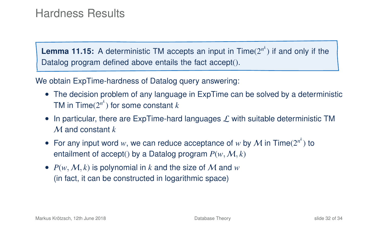**Lemma 11.15:** A deterministic TM accepts an input in Time(2*<sup>n</sup> k* ) if and only if the Datalog program defined above entails the fact accept().

We obtain ExpTime-hardness of Datalog query answering:

- The decision problem of any language in ExpTime can be solved by a deterministic TM in  $\mathsf{Time}(2^{n^k})$  for some constant  $k$
- In particular, there are ExpTime-hard languages  $\mathcal L$  with suitable deterministic TM M and constant *k*
- For any input word w, we can reduce acceptance of w by  $M$  in Time( $2^{n^k}$ ) to entailment of accept() by a Datalog program  $P(w, M, k)$
- $P(w, M, k)$  is polynomial in k and the size of M and  $w$ (in fact, it can be constructed in logarithmic space)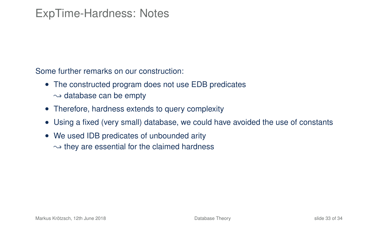#### ExpTime-Hardness: Notes

Some further remarks on our construction:

- The constructed program does not use EDB predicates  $\rightarrow$  database can be empty
- Therefore, hardness extends to query complexity
- Using a fixed (very small) database, we could have avoided the use of constants
- We used IDB predicates of unbounded arity  $\rightarrow$  they are essential for the claimed hardness